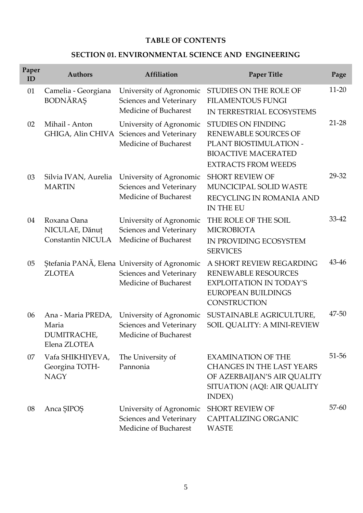### **TABLE OF CONTENTS**

### **SECTION 01. ENVIRONMENTAL SCIENCE AND ENGINEERING**

| Paper<br>ID | <b>Authors</b>                                             | Affiliation                                                                                      | <b>Paper Title</b>                                                                                                                             | Page      |
|-------------|------------------------------------------------------------|--------------------------------------------------------------------------------------------------|------------------------------------------------------------------------------------------------------------------------------------------------|-----------|
| 01          | Camelia - Georgiana<br><b>BODNĂRAȘ</b>                     | University of Agronomic<br>Sciences and Veterinary<br>Medicine of Bucharest                      | STUDIES ON THE ROLE OF<br><b>FILAMENTOUS FUNGI</b><br>IN TERRESTRIAL ECOSYSTEMS                                                                | $11-20$   |
| 02          | Mihail - Anton                                             | University of Agronomic<br>GHIGA, Alin CHIVA Sciences and Veterinary<br>Medicine of Bucharest    | <b>STUDIES ON FINDING</b><br><b>RENEWABLE SOURCES OF</b><br>PLANT BIOSTIMULATION -<br><b>BIOACTIVE MACERATED</b><br><b>EXTRACTS FROM WEEDS</b> | $21 - 28$ |
| 03          | Silvia IVAN, Aurelia<br><b>MARTIN</b>                      | University of Agronomic<br>Sciences and Veterinary<br>Medicine of Bucharest                      | <b>SHORT REVIEW OF</b><br>MUNCICIPAL SOLID WASTE<br>RECYCLING IN ROMANIA AND<br>IN THE EU                                                      | 29-32     |
| 04          | Roxana Oana<br>NICULAE, Dănuț<br><b>Constantin NICULA</b>  | University of Agronomic<br>Sciences and Veterinary<br>Medicine of Bucharest                      | THE ROLE OF THE SOIL<br><b>MICROBIOTA</b><br>IN PROVIDING ECOSYSTEM<br><b>SERVICES</b>                                                         | 33-42     |
| 05          | <b>ZLOTEA</b>                                              | Ștefania PANĂ, Elena University of Agronomic<br>Sciences and Veterinary<br>Medicine of Bucharest | A SHORT REVIEW REGARDING<br><b>RENEWABLE RESOURCES</b><br><b>EXPLOITATION IN TODAY'S</b><br>EUROPEAN BUILDINGS<br>CONSTRUCTION                 | 43-46     |
| 06          | Ana - Maria PREDA,<br>Maria<br>DUMITRACHE,<br>Elena ZLOTEA | University of Agronomic<br>Sciences and Veterinary<br>Medicine of Bucharest                      | SUSTAINABLE AGRICULTURE,<br>SOIL QUALITY: A MINI-REVIEW                                                                                        | 47-50     |
| 07          | Vafa SHIKHIYEVA,<br>Georgina TOTH-<br><b>NAGY</b>          | The University of<br>Pannonia                                                                    | <b>EXAMINATION OF THE</b><br><b>CHANGES IN THE LAST YEARS</b><br>OF AZERBAIJAN'S AIR QUALITY<br>SITUATION (AQI: AIR QUALITY<br>INDEX)          | 51-56     |
| 08          | Anca SIPOS                                                 | University of Agronomic<br>Sciences and Veterinary<br>Medicine of Bucharest                      | <b>SHORT REVIEW OF</b><br>CAPITALIZING ORGANIC<br><b>WASTE</b>                                                                                 | $57 - 60$ |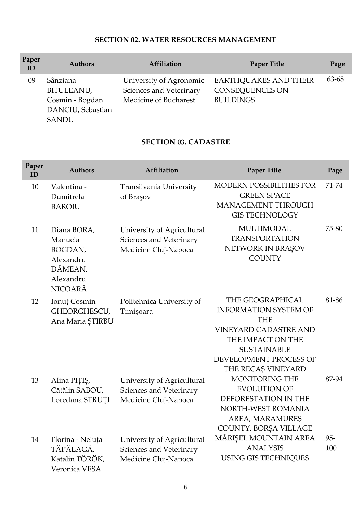# **SECTION 02. WATER RESOURCES MANAGEMENT**

| Paper<br>ID | <b>Authors</b>                                                                        | Affiliation                                                                 | <b>Paper Title</b>                                                         | Page  |
|-------------|---------------------------------------------------------------------------------------|-----------------------------------------------------------------------------|----------------------------------------------------------------------------|-------|
| 09          | Sânziana<br><b>BITULEANU,</b><br>Cosmin - Bogdan<br>DANCIU, Sebastian<br><b>SANDU</b> | University of Agronomic<br>Sciences and Veterinary<br>Medicine of Bucharest | <b>EARTHQUAKES AND THEIR</b><br><b>CONSEQUENCES ON</b><br><b>BUILDINGS</b> | 63-68 |

# **SECTION 03. CADASTRE**

| Paper<br>ID | <b>Authors</b>                                                                           | Affiliation                                                                   | <b>Paper Title</b>                                                                                                                                                                        | Page          |
|-------------|------------------------------------------------------------------------------------------|-------------------------------------------------------------------------------|-------------------------------------------------------------------------------------------------------------------------------------------------------------------------------------------|---------------|
| 10          | Valentina -<br>Dumitrela<br><b>BAROIU</b>                                                | Transilvania University<br>of Brașov                                          | <b>MODERN POSSIBILITIES FOR</b><br><b>GREEN SPACE</b><br>MANAGEMENT THROUGH<br><b>GIS TECHNOLOGY</b>                                                                                      | 71-74         |
| 11          | Diana BORA,<br>Manuela<br>BOGDAN,<br>Alexandru<br>DĂMEAN,<br>Alexandru<br><b>NICOARĂ</b> | University of Agricultural<br>Sciences and Veterinary<br>Medicine Cluj-Napoca | <b>MULTIMODAL</b><br><b>TRANSPORTATION</b><br>NETWORK IN BRAȘOV<br><b>COUNTY</b>                                                                                                          | 75-80         |
| 12          | Ionuț Cosmin<br>GHEORGHESCU,<br>Ana Maria STIRBU                                         | Politehnica University of<br>Timișoara                                        | THE GEOGRAPHICAL<br><b>INFORMATION SYSTEM OF</b><br><b>THE</b><br><b>VINEYARD CADASTRE AND</b><br>THE IMPACT ON THE<br><b>SUSTAINABLE</b><br>DEVELOPMENT PROCESS OF<br>THE RECAȘ VINEYARD | 81-86         |
| 13          | Alina PIȚIȘ,<br>Cătălin SABOU,<br>Loredana STRUȚI                                        | University of Agricultural<br>Sciences and Veterinary<br>Medicine Cluj-Napoca | MONITORING THE<br><b>EVOLUTION OF</b><br>DEFORESTATION IN THE<br>NORTH-WEST ROMANIA<br>AREA, MARAMUREȘ<br>COUNTY, BORȘA VILLAGE                                                           | 87-94         |
| 14          | Florina - Neluța<br>TĂPĂLAGĂ,<br>Katalin TÖRÖK,<br>Veronica VESA                         | University of Agricultural<br>Sciences and Veterinary<br>Medicine Cluj-Napoca | MĂRIȘEL MOUNTAIN AREA<br><b>ANALYSIS</b><br><b>USING GIS TECHNIQUES</b>                                                                                                                   | $95 -$<br>100 |